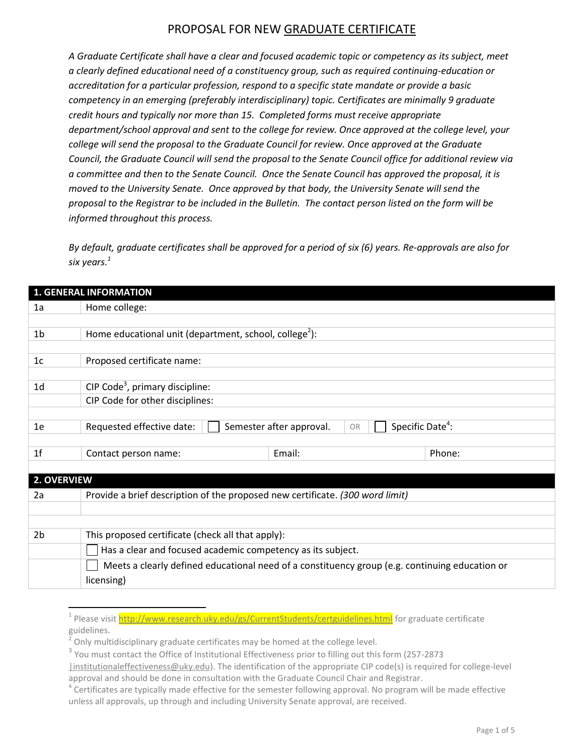*A Graduate Certificate shall have a clear and focused academic topic or competency as its subject, meet a clearly defined educational need of a constituency group, such as required continuing-education or accreditation for a particular profession, respond to a specific state mandate or provide a basic competency in an emerging (preferably interdisciplinary) topic. Certificates are minimally 9 graduate credit hours and typically nor more than 15. Completed forms must receive appropriate department/school approval and sent to the college for review. Once approved at the college level, your college will send the proposal to the Graduate Council for review. Once approved at the Graduate Council, the Graduate Council will send the proposal to the Senate Council office for additional review via a committee and then to the Senate Council. Once the Senate Council has approved the proposal, it is moved to the University Senate. Once approved by that body, the University Senate will send the proposal to the Registrar to be included in the Bulletin. The contact person listed on the form will be informed throughout this process.*

*By default, graduate certificates shall be approved for a period of six (6) years. Re-approvals are also for six years.<sup>1</sup>*

|                | <b>1. GENERAL INFORMATION</b>                                                                  |                                                                |        |
|----------------|------------------------------------------------------------------------------------------------|----------------------------------------------------------------|--------|
| 1a             | Home college:                                                                                  |                                                                |        |
|                |                                                                                                |                                                                |        |
| 1 <sub>b</sub> | Home educational unit (department, school, college <sup>2</sup> ):                             |                                                                |        |
|                |                                                                                                |                                                                |        |
| 1c             | Proposed certificate name:                                                                     |                                                                |        |
|                |                                                                                                |                                                                |        |
| 1 <sub>d</sub> | CIP Code <sup>3</sup> , primary discipline:                                                    |                                                                |        |
|                | CIP Code for other disciplines:                                                                |                                                                |        |
|                |                                                                                                |                                                                |        |
| 1e             | Requested effective date:                                                                      | Specific Date <sup>4</sup> :<br>Semester after approval.<br>OR |        |
|                |                                                                                                |                                                                |        |
| 1f             | Contact person name:                                                                           | Email:                                                         | Phone: |
|                |                                                                                                |                                                                |        |
| 2. OVERVIEW    |                                                                                                |                                                                |        |
| 2a             | Provide a brief description of the proposed new certificate. (300 word limit)                  |                                                                |        |
|                |                                                                                                |                                                                |        |
|                |                                                                                                |                                                                |        |
| 2 <sub>b</sub> | This proposed certificate (check all that apply):                                              |                                                                |        |
|                | Has a clear and focused academic competency as its subject.                                    |                                                                |        |
|                | Meets a clearly defined educational need of a constituency group (e.g. continuing education or |                                                                |        |
|                | licensing)                                                                                     |                                                                |        |
|                |                                                                                                |                                                                |        |

 $\overline{a}$ 

<sup>&</sup>lt;sup>1</sup> Please visi[t http://www.research.uky.edu/gs/CurrentStudents/certguidelines.html](http://www.research.uky.edu/gs/CurrentStudents/certguidelines.html) for graduate certificate guidelines.

<sup>2</sup> Only multidisciplinary graduate certificates may be homed at the college level.

 $3$  You must contact the Office of Institutional Effectiveness prior to filling out this form (257-2873

[<sup>|</sup>institutionaleffectiveness@uky.edu\)](mailto:institutionaleffectiveness@uky.edu). The identification of the appropriate CIP code(s) is required for college-level approval and should be done in consultation with the Graduate Council Chair and Registrar.

<sup>&</sup>lt;sup>4</sup> Certificates are typically made effective for the semester following approval. No program will be made effective unless all approvals, up through and including University Senate approval, are received.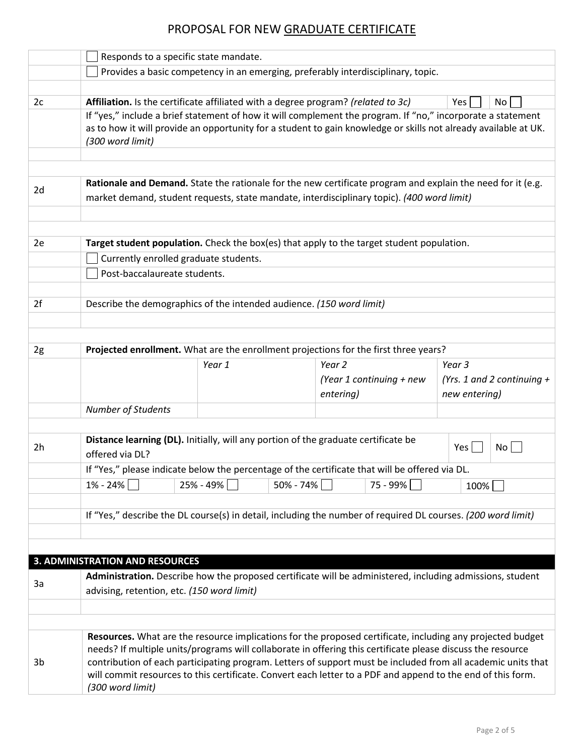|    | Responds to a specific state mandate.                                                                                                                   |                          |                                                                                                                                                                                                                                                                                                                                                                                                                                                          |                              |  |  |  |  |
|----|---------------------------------------------------------------------------------------------------------------------------------------------------------|--------------------------|----------------------------------------------------------------------------------------------------------------------------------------------------------------------------------------------------------------------------------------------------------------------------------------------------------------------------------------------------------------------------------------------------------------------------------------------------------|------------------------------|--|--|--|--|
|    |                                                                                                                                                         |                          | Provides a basic competency in an emerging, preferably interdisciplinary, topic.                                                                                                                                                                                                                                                                                                                                                                         |                              |  |  |  |  |
|    |                                                                                                                                                         |                          |                                                                                                                                                                                                                                                                                                                                                                                                                                                          |                              |  |  |  |  |
| 2c | Affiliation. Is the certificate affiliated with a degree program? (related to 3c)                                                                       |                          |                                                                                                                                                                                                                                                                                                                                                                                                                                                          | Yes<br>No                    |  |  |  |  |
|    | (300 word limit)                                                                                                                                        |                          | If "yes," include a brief statement of how it will complement the program. If "no," incorporate a statement<br>as to how it will provide an opportunity for a student to gain knowledge or skills not already available at UK.                                                                                                                                                                                                                           |                              |  |  |  |  |
|    |                                                                                                                                                         |                          |                                                                                                                                                                                                                                                                                                                                                                                                                                                          |                              |  |  |  |  |
| 2d |                                                                                                                                                         |                          | Rationale and Demand. State the rationale for the new certificate program and explain the need for it (e.g.<br>market demand, student requests, state mandate, interdisciplinary topic). (400 word limit)                                                                                                                                                                                                                                                |                              |  |  |  |  |
|    |                                                                                                                                                         |                          |                                                                                                                                                                                                                                                                                                                                                                                                                                                          |                              |  |  |  |  |
| 2e |                                                                                                                                                         |                          | Target student population. Check the box(es) that apply to the target student population.                                                                                                                                                                                                                                                                                                                                                                |                              |  |  |  |  |
|    | Currently enrolled graduate students.<br>Post-baccalaureate students.                                                                                   |                          |                                                                                                                                                                                                                                                                                                                                                                                                                                                          |                              |  |  |  |  |
|    |                                                                                                                                                         |                          |                                                                                                                                                                                                                                                                                                                                                                                                                                                          |                              |  |  |  |  |
| 2f | Describe the demographics of the intended audience. (150 word limit)                                                                                    |                          |                                                                                                                                                                                                                                                                                                                                                                                                                                                          |                              |  |  |  |  |
|    |                                                                                                                                                         |                          |                                                                                                                                                                                                                                                                                                                                                                                                                                                          |                              |  |  |  |  |
|    |                                                                                                                                                         |                          |                                                                                                                                                                                                                                                                                                                                                                                                                                                          |                              |  |  |  |  |
| 2g | Projected enrollment. What are the enrollment projections for the first three years?                                                                    |                          |                                                                                                                                                                                                                                                                                                                                                                                                                                                          |                              |  |  |  |  |
|    |                                                                                                                                                         | Year 1                   | Year <sub>2</sub>                                                                                                                                                                                                                                                                                                                                                                                                                                        | Year 3                       |  |  |  |  |
|    |                                                                                                                                                         |                          | (Year 1 continuing + new                                                                                                                                                                                                                                                                                                                                                                                                                                 | (Yrs. 1 and 2 continuing $+$ |  |  |  |  |
|    |                                                                                                                                                         |                          | entering)                                                                                                                                                                                                                                                                                                                                                                                                                                                | new entering)                |  |  |  |  |
|    | Number of Students                                                                                                                                      |                          |                                                                                                                                                                                                                                                                                                                                                                                                                                                          |                              |  |  |  |  |
|    |                                                                                                                                                         |                          |                                                                                                                                                                                                                                                                                                                                                                                                                                                          |                              |  |  |  |  |
| 2h | Distance learning (DL). Initially, will any portion of the graduate certificate be<br>No<br>Yes <sub>l</sub><br>offered via DL?                         |                          |                                                                                                                                                                                                                                                                                                                                                                                                                                                          |                              |  |  |  |  |
|    |                                                                                                                                                         |                          | If "Yes," please indicate below the percentage of the certificate that will be offered via DL.                                                                                                                                                                                                                                                                                                                                                           |                              |  |  |  |  |
|    | 1% - 24%                                                                                                                                                | 25% - 49%  <br>50% - 74% | 75 - 99%                                                                                                                                                                                                                                                                                                                                                                                                                                                 | 100%                         |  |  |  |  |
|    |                                                                                                                                                         |                          |                                                                                                                                                                                                                                                                                                                                                                                                                                                          |                              |  |  |  |  |
|    |                                                                                                                                                         |                          | If "Yes," describe the DL course(s) in detail, including the number of required DL courses. (200 word limit)                                                                                                                                                                                                                                                                                                                                             |                              |  |  |  |  |
|    |                                                                                                                                                         |                          |                                                                                                                                                                                                                                                                                                                                                                                                                                                          |                              |  |  |  |  |
|    |                                                                                                                                                         |                          |                                                                                                                                                                                                                                                                                                                                                                                                                                                          |                              |  |  |  |  |
|    | <b>3. ADMINISTRATION AND RESOURCES</b>                                                                                                                  |                          |                                                                                                                                                                                                                                                                                                                                                                                                                                                          |                              |  |  |  |  |
| 3a | Administration. Describe how the proposed certificate will be administered, including admissions, student<br>advising, retention, etc. (150 word limit) |                          |                                                                                                                                                                                                                                                                                                                                                                                                                                                          |                              |  |  |  |  |
|    |                                                                                                                                                         |                          |                                                                                                                                                                                                                                                                                                                                                                                                                                                          |                              |  |  |  |  |
|    |                                                                                                                                                         |                          |                                                                                                                                                                                                                                                                                                                                                                                                                                                          |                              |  |  |  |  |
| 3b | (300 word limit)                                                                                                                                        |                          | Resources. What are the resource implications for the proposed certificate, including any projected budget<br>needs? If multiple units/programs will collaborate in offering this certificate please discuss the resource<br>contribution of each participating program. Letters of support must be included from all academic units that<br>will commit resources to this certificate. Convert each letter to a PDF and append to the end of this form. |                              |  |  |  |  |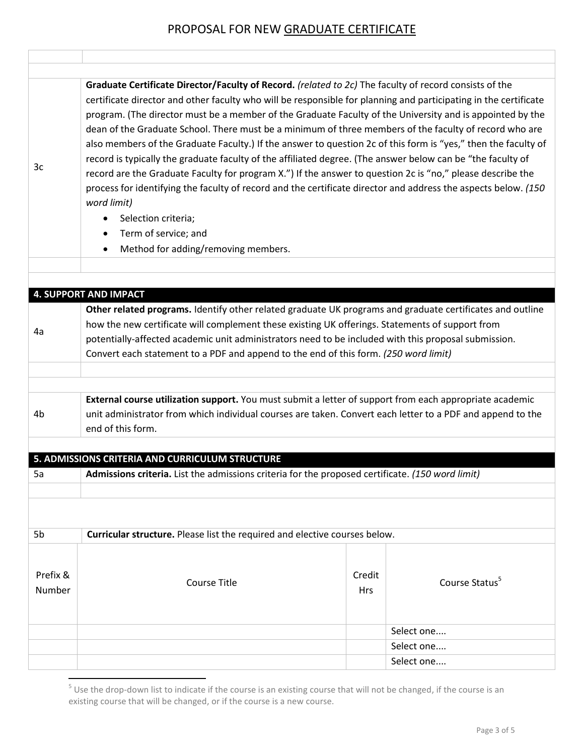| 3c                 | Graduate Certificate Director/Faculty of Record. (related to 2c) The faculty of record consists of the<br>certificate director and other faculty who will be responsible for planning and participating in the certificate<br>program. (The director must be a member of the Graduate Faculty of the University and is appointed by the<br>dean of the Graduate School. There must be a minimum of three members of the faculty of record who are<br>also members of the Graduate Faculty.) If the answer to question 2c of this form is "yes," then the faculty of<br>record is typically the graduate faculty of the affiliated degree. (The answer below can be "the faculty of<br>record are the Graduate Faculty for program X.") If the answer to question 2c is "no," please describe the<br>process for identifying the faculty of record and the certificate director and address the aspects below. (150<br>word limit)<br>Selection criteria;<br>Term of service; and<br>$\bullet$<br>Method for adding/removing members.<br>$\bullet$ |               |                            |  |  |
|--------------------|---------------------------------------------------------------------------------------------------------------------------------------------------------------------------------------------------------------------------------------------------------------------------------------------------------------------------------------------------------------------------------------------------------------------------------------------------------------------------------------------------------------------------------------------------------------------------------------------------------------------------------------------------------------------------------------------------------------------------------------------------------------------------------------------------------------------------------------------------------------------------------------------------------------------------------------------------------------------------------------------------------------------------------------------------|---------------|----------------------------|--|--|
|                    |                                                                                                                                                                                                                                                                                                                                                                                                                                                                                                                                                                                                                                                                                                                                                                                                                                                                                                                                                                                                                                                   |               |                            |  |  |
|                    |                                                                                                                                                                                                                                                                                                                                                                                                                                                                                                                                                                                                                                                                                                                                                                                                                                                                                                                                                                                                                                                   |               |                            |  |  |
|                    | <b>4. SUPPORT AND IMPACT</b>                                                                                                                                                                                                                                                                                                                                                                                                                                                                                                                                                                                                                                                                                                                                                                                                                                                                                                                                                                                                                      |               |                            |  |  |
| 4a                 | Other related programs. Identify other related graduate UK programs and graduate certificates and outline<br>how the new certificate will complement these existing UK offerings. Statements of support from<br>potentially-affected academic unit administrators need to be included with this proposal submission.<br>Convert each statement to a PDF and append to the end of this form. (250 word limit)                                                                                                                                                                                                                                                                                                                                                                                                                                                                                                                                                                                                                                      |               |                            |  |  |
|                    |                                                                                                                                                                                                                                                                                                                                                                                                                                                                                                                                                                                                                                                                                                                                                                                                                                                                                                                                                                                                                                                   |               |                            |  |  |
| 4 <sub>b</sub>     | External course utilization support. You must submit a letter of support from each appropriate academic<br>unit administrator from which individual courses are taken. Convert each letter to a PDF and append to the<br>end of this form.                                                                                                                                                                                                                                                                                                                                                                                                                                                                                                                                                                                                                                                                                                                                                                                                        |               |                            |  |  |
| 5a                 | 5. ADMISSIONS CRITERIA AND CURRICULUM STRUCTURE<br>Admissions criteria. List the admissions criteria for the proposed certificate. (150 word limit)                                                                                                                                                                                                                                                                                                                                                                                                                                                                                                                                                                                                                                                                                                                                                                                                                                                                                               |               |                            |  |  |
|                    |                                                                                                                                                                                                                                                                                                                                                                                                                                                                                                                                                                                                                                                                                                                                                                                                                                                                                                                                                                                                                                                   |               |                            |  |  |
| 5 <sub>b</sub>     | Curricular structure. Please list the required and elective courses below.                                                                                                                                                                                                                                                                                                                                                                                                                                                                                                                                                                                                                                                                                                                                                                                                                                                                                                                                                                        |               |                            |  |  |
| Prefix &<br>Number | <b>Course Title</b>                                                                                                                                                                                                                                                                                                                                                                                                                                                                                                                                                                                                                                                                                                                                                                                                                                                                                                                                                                                                                               | Credit<br>Hrs | Course Status <sup>5</sup> |  |  |
|                    |                                                                                                                                                                                                                                                                                                                                                                                                                                                                                                                                                                                                                                                                                                                                                                                                                                                                                                                                                                                                                                                   |               | Select one                 |  |  |
|                    |                                                                                                                                                                                                                                                                                                                                                                                                                                                                                                                                                                                                                                                                                                                                                                                                                                                                                                                                                                                                                                                   |               | Select one                 |  |  |
|                    |                                                                                                                                                                                                                                                                                                                                                                                                                                                                                                                                                                                                                                                                                                                                                                                                                                                                                                                                                                                                                                                   |               | Select one                 |  |  |

 5 Use the drop-down list to indicate if the course is an existing course that will not be changed, if the course is an existing course that will be changed, or if the course is a new course.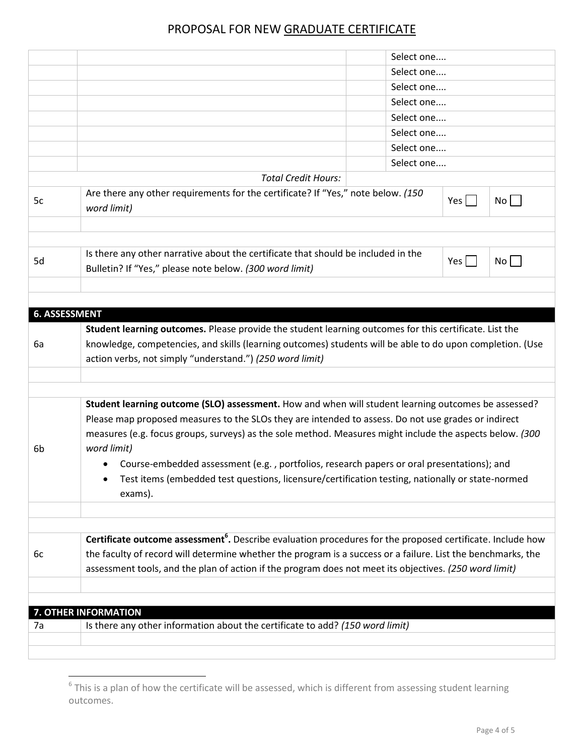|    |                                                                                                                        |  | Select one               |         |                |  |  |
|----|------------------------------------------------------------------------------------------------------------------------|--|--------------------------|---------|----------------|--|--|
|    |                                                                                                                        |  | Select one               |         |                |  |  |
|    |                                                                                                                        |  | Select one               |         |                |  |  |
|    |                                                                                                                        |  | Select one               |         |                |  |  |
|    |                                                                                                                        |  | Select one<br>Select one |         |                |  |  |
|    |                                                                                                                        |  |                          |         |                |  |  |
|    |                                                                                                                        |  | Select one               |         |                |  |  |
|    |                                                                                                                        |  | Select one               |         |                |  |  |
|    | <b>Total Credit Hours:</b>                                                                                             |  |                          |         |                |  |  |
| 5c | Are there any other requirements for the certificate? If "Yes," note below. (150                                       |  |                          | Yes $ $ | $No$           |  |  |
|    | word limit)                                                                                                            |  |                          |         |                |  |  |
|    |                                                                                                                        |  |                          |         |                |  |  |
|    |                                                                                                                        |  |                          |         |                |  |  |
| 5d | Is there any other narrative about the certificate that should be included in the                                      |  |                          | Yes $ $ | $No   \exists$ |  |  |
|    | Bulletin? If "Yes," please note below. (300 word limit)                                                                |  |                          |         |                |  |  |
|    |                                                                                                                        |  |                          |         |                |  |  |
|    |                                                                                                                        |  |                          |         |                |  |  |
|    | <b>6. ASSESSMENT</b>                                                                                                   |  |                          |         |                |  |  |
|    | Student learning outcomes. Please provide the student learning outcomes for this certificate. List the                 |  |                          |         |                |  |  |
| 6a | knowledge, competencies, and skills (learning outcomes) students will be able to do upon completion. (Use              |  |                          |         |                |  |  |
|    | action verbs, not simply "understand.") (250 word limit)                                                               |  |                          |         |                |  |  |
|    |                                                                                                                        |  |                          |         |                |  |  |
|    |                                                                                                                        |  |                          |         |                |  |  |
|    | Student learning outcome (SLO) assessment. How and when will student learning outcomes be assessed?                    |  |                          |         |                |  |  |
|    | Please map proposed measures to the SLOs they are intended to assess. Do not use grades or indirect                    |  |                          |         |                |  |  |
|    | measures (e.g. focus groups, surveys) as the sole method. Measures might include the aspects below. (300               |  |                          |         |                |  |  |
| 6b | word limit)                                                                                                            |  |                          |         |                |  |  |
|    | Course-embedded assessment (e.g., portfolios, research papers or oral presentations); and                              |  |                          |         |                |  |  |
|    | Test items (embedded test questions, licensure/certification testing, nationally or state-normed                       |  |                          |         |                |  |  |
|    | exams).                                                                                                                |  |                          |         |                |  |  |
|    |                                                                                                                        |  |                          |         |                |  |  |
|    |                                                                                                                        |  |                          |         |                |  |  |
|    | Certificate outcome assessment <sup>6</sup> . Describe evaluation procedures for the proposed certificate. Include how |  |                          |         |                |  |  |
| 6c | the faculty of record will determine whether the program is a success or a failure. List the benchmarks, the           |  |                          |         |                |  |  |
|    | assessment tools, and the plan of action if the program does not meet its objectives. (250 word limit)                 |  |                          |         |                |  |  |
|    |                                                                                                                        |  |                          |         |                |  |  |
|    |                                                                                                                        |  |                          |         |                |  |  |
|    | 7. OTHER INFORMATION                                                                                                   |  |                          |         |                |  |  |
| 7a | Is there any other information about the certificate to add? (150 word limit)                                          |  |                          |         |                |  |  |
|    |                                                                                                                        |  |                          |         |                |  |  |
|    |                                                                                                                        |  |                          |         |                |  |  |

<sup>&</sup>lt;sup>6</sup> This is a plan of how the certificate will be assessed, which is different from assessing student learning outcomes.